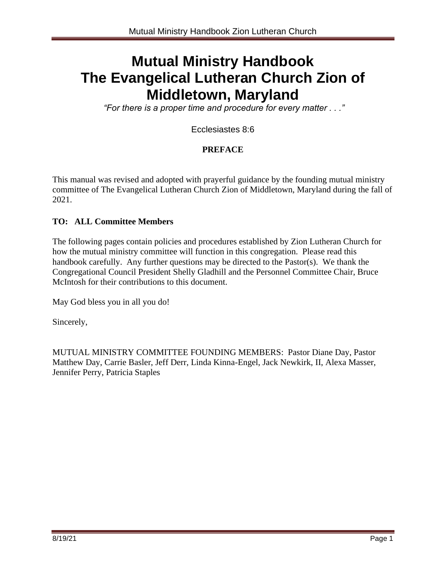# **Mutual Ministry Handbook The Evangelical Lutheran Church Zion of Middletown, Maryland**

*"For there is a proper time and procedure for every matter . . ."*

Ecclesiastes 8:6

### **PREFACE**

This manual was revised and adopted with prayerful guidance by the founding mutual ministry committee of The Evangelical Lutheran Church Zion of Middletown, Maryland during the fall of 2021.

### **TO: ALL Committee Members**

The following pages contain policies and procedures established by Zion Lutheran Church for how the mutual ministry committee will function in this congregation. Please read this handbook carefully. Any further questions may be directed to the Pastor(s). We thank the Congregational Council President Shelly Gladhill and the Personnel Committee Chair, Bruce McIntosh for their contributions to this document.

May God bless you in all you do!

Sincerely,

MUTUAL MINISTRY COMMITTEE FOUNDING MEMBERS: Pastor Diane Day, Pastor Matthew Day, Carrie Basler, Jeff Derr, Linda Kinna-Engel, Jack Newkirk, II, Alexa Masser, Jennifer Perry, Patricia Staples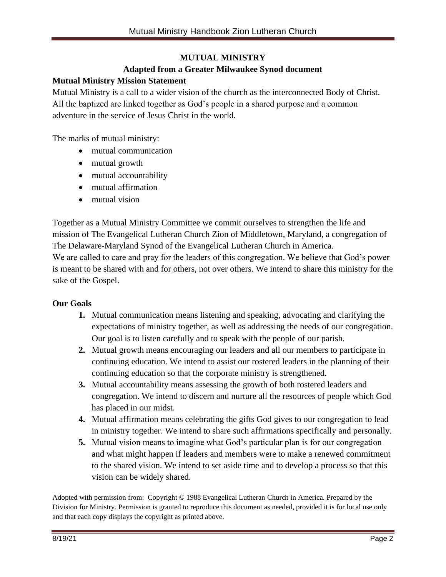### **MUTUAL MINISTRY**

### **Adapted from a Greater Milwaukee Synod document**

### **Mutual Ministry Mission Statement**

Mutual Ministry is a call to a wider vision of the church as the interconnected Body of Christ. All the baptized are linked together as God's people in a shared purpose and a common adventure in the service of Jesus Christ in the world.

The marks of mutual ministry:

- mutual communication
- mutual growth
- mutual accountability
- mutual affirmation
- mutual vision

Together as a Mutual Ministry Committee we commit ourselves to strengthen the life and mission of The Evangelical Lutheran Church Zion of Middletown, Maryland, a congregation of The Delaware-Maryland Synod of the Evangelical Lutheran Church in America.

We are called to care and pray for the leaders of this congregation. We believe that God's power is meant to be shared with and for others, not over others. We intend to share this ministry for the sake of the Gospel.

### **Our Goals**

- **1.** Mutual communication means listening and speaking, advocating and clarifying the expectations of ministry together, as well as addressing the needs of our congregation. Our goal is to listen carefully and to speak with the people of our parish.
- **2.** Mutual growth means encouraging our leaders and all our members to participate in continuing education. We intend to assist our rostered leaders in the planning of their continuing education so that the corporate ministry is strengthened.
- **3.** Mutual accountability means assessing the growth of both rostered leaders and congregation. We intend to discern and nurture all the resources of people which God has placed in our midst.
- **4.** Mutual affirmation means celebrating the gifts God gives to our congregation to lead in ministry together. We intend to share such affirmations specifically and personally.
- **5.** Mutual vision means to imagine what God's particular plan is for our congregation and what might happen if leaders and members were to make a renewed commitment to the shared vision. We intend to set aside time and to develop a process so that this vision can be widely shared.

Adopted with permission from: Copyright © 1988 Evangelical Lutheran Church in America. Prepared by the Division for Ministry. Permission is granted to reproduce this document as needed, provided it is for local use only and that each copy displays the copyright as printed above.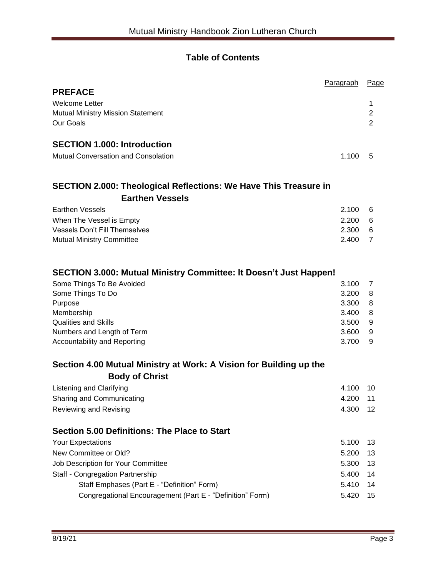### **Table of Contents**

|                                                                         | Paragraph | Page           |
|-------------------------------------------------------------------------|-----------|----------------|
| <b>PREFACE</b>                                                          |           |                |
| <b>Welcome Letter</b>                                                   |           | 1              |
| <b>Mutual Ministry Mission Statement</b>                                |           | 2              |
| Our Goals                                                               |           | 2              |
| <b>SECTION 1.000: Introduction</b>                                      |           |                |
| <b>Mutual Conversation and Consolation</b>                              | 1.100     | 5              |
| <b>SECTION 2.000: Theological Reflections: We Have This Treasure in</b> |           |                |
| <b>Earthen Vessels</b>                                                  |           |                |
| <b>Earthen Vessels</b>                                                  | 2.100     | 6              |
| When The Vessel is Empty                                                | 2.200     | 6              |
| <b>Vessels Don't Fill Themselves</b>                                    | 2.300     | 6              |
| <b>Mutual Ministry Committee</b>                                        | 2.400     | $\overline{7}$ |
| SECTION 3.000: Mutual Ministry Committee: It Doesn't Just Happen!       |           |                |
| Some Things To Be Avoided                                               | 3.100     | 7              |
| Some Things To Do                                                       | 3.200     | 8              |
| Purpose                                                                 | 3.300     | 8              |
| Membership                                                              | 3.400     | 8              |
| <b>Qualities and Skills</b>                                             | 3.500     | 9              |
| Numbers and Length of Term                                              | 3.600     | 9              |
| Accountability and Reporting                                            | 3.700     | 9              |
| Section 4.00 Mutual Ministry at Work: A Vision for Building up the      |           |                |
| <b>Body of Christ</b>                                                   |           |                |
| Listening and Clarifying                                                | 4.100     | 10             |
| Sharing and Communicating                                               | 4.200     | 11             |
| Reviewing and Revising                                                  | 4.300     | 12             |
| <b>Section 5.00 Definitions: The Place to Start</b>                     |           |                |
| <b>Your Expectations</b>                                                | 5.100     | 13             |
| New Committee or Old?                                                   | 5.200     | 13             |

| Job Description for Your Committee                        | 5.300 13 |  |
|-----------------------------------------------------------|----------|--|
| Staff - Congregation Partnership                          | 5.400 14 |  |
| Staff Emphases (Part E - "Definition" Form)               | 5.410 14 |  |
| Congregational Encouragement (Part E - "Definition" Form) | 5.420 15 |  |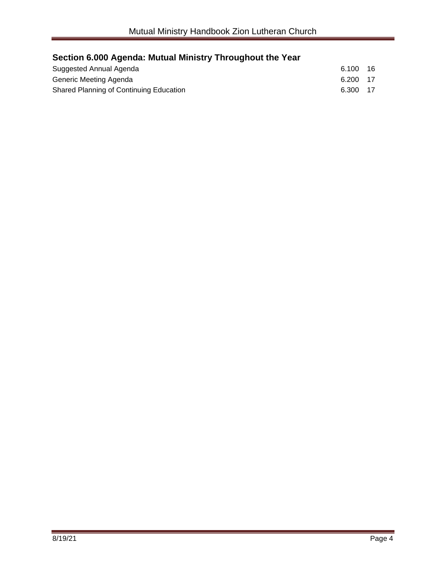## **Section 6.000 Agenda: Mutual Ministry Throughout the Year**

| Suggested Annual Agenda                 | 6.100    | -16 |
|-----------------------------------------|----------|-----|
| Generic Meeting Agenda                  | 6.200 17 |     |
| Shared Planning of Continuing Education | 6.300 17 |     |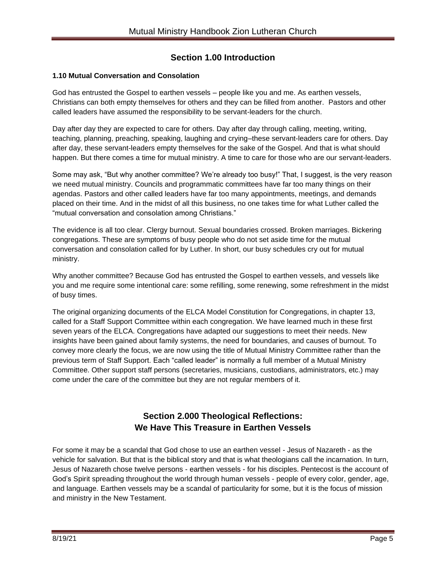### **Section 1.00 Introduction**

### **1.10 Mutual Conversation and Consolation**

God has entrusted the Gospel to earthen vessels – people like you and me. As earthen vessels, Christians can both empty themselves for others and they can be filled from another. Pastors and other called leaders have assumed the responsibility to be servant-leaders for the church.

Day after day they are expected to care for others. Day after day through calling, meeting, writing, teaching, planning, preaching, speaking, laughing and crying–these servant-leaders care for others. Day after day, these servant-leaders empty themselves for the sake of the Gospel. And that is what should happen. But there comes a time for mutual ministry. A time to care for those who are our servant-leaders.

Some may ask, "But why another committee? We're already too busy!" That, I suggest, is the very reason we need mutual ministry. Councils and programmatic committees have far too many things on their agendas. Pastors and other called leaders have far too many appointments, meetings, and demands placed on their time. And in the midst of all this business, no one takes time for what Luther called the "mutual conversation and consolation among Christians."

The evidence is all too clear. Clergy burnout. Sexual boundaries crossed. Broken marriages. Bickering congregations. These are symptoms of busy people who do not set aside time for the mutual conversation and consolation called for by Luther. In short, our busy schedules cry out for mutual ministry.

Why another committee? Because God has entrusted the Gospel to earthen vessels, and vessels like you and me require some intentional care: some refilling, some renewing, some refreshment in the midst of busy times.

The original organizing documents of the ELCA Model Constitution for Congregations, in chapter 13, called for a Staff Support Committee within each congregation. We have learned much in these first seven years of the ELCA. Congregations have adapted our suggestions to meet their needs. New insights have been gained about family systems, the need for boundaries, and causes of burnout. To convey more clearly the focus, we are now using the title of Mutual Ministry Committee rather than the previous term of Staff Support. Each "called leader" is normally a full member of a Mutual Ministry Committee. Other support staff persons (secretaries, musicians, custodians, administrators, etc.) may come under the care of the committee but they are not regular members of it.

### **Section 2.000 Theological Reflections: We Have This Treasure in Earthen Vessels**

For some it may be a scandal that God chose to use an earthen vessel - Jesus of Nazareth - as the vehicle for salvation. But that is the biblical story and that is what theologians call the incarnation. In turn, Jesus of Nazareth chose twelve persons - earthen vessels - for his disciples. Pentecost is the account of God's Spirit spreading throughout the world through human vessels - people of every color, gender, age, and language. Earthen vessels may be a scandal of particularity for some, but it is the focus of mission and ministry in the New Testament.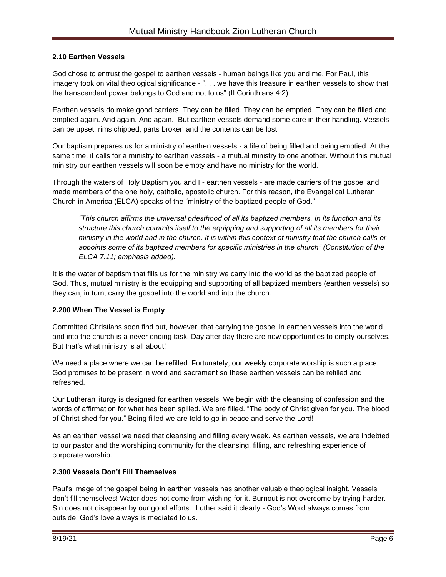### **2.10 Earthen Vessels**

God chose to entrust the gospel to earthen vessels - human beings like you and me. For Paul, this imagery took on vital theological significance - ". . . we have this treasure in earthen vessels to show that the transcendent power belongs to God and not to us" (II Corinthians 4:2).

Earthen vessels do make good carriers. They can be filled. They can be emptied. They can be filled and emptied again. And again. And again. But earthen vessels demand some care in their handling. Vessels can be upset, rims chipped, parts broken and the contents can be lost!

Our baptism prepares us for a ministry of earthen vessels - a life of being filled and being emptied. At the same time, it calls for a ministry to earthen vessels - a mutual ministry to one another. Without this mutual ministry our earthen vessels will soon be empty and have no ministry for the world.

Through the waters of Holy Baptism you and I - earthen vessels - are made carriers of the gospel and made members of the one holy, catholic, apostolic church. For this reason, the Evangelical Lutheran Church in America (ELCA) speaks of the "ministry of the baptized people of God."

*"This church affirms the universal priesthood of all its baptized members. In its function and its structure this church commits itself to the equipping and supporting of all its members for their ministry in the world and in the church. It is within this context of ministry that the church calls or appoints some of its baptized members for specific ministries in the church" (Constitution of the ELCA 7.11; emphasis added).*

It is the water of baptism that fills us for the ministry we carry into the world as the baptized people of God. Thus, mutual ministry is the equipping and supporting of all baptized members (earthen vessels) so they can, in turn, carry the gospel into the world and into the church.

### **2.200 When The Vessel is Empty**

Committed Christians soon find out, however, that carrying the gospel in earthen vessels into the world and into the church is a never ending task. Day after day there are new opportunities to empty ourselves. But that's what ministry is all about!

We need a place where we can be refilled. Fortunately, our weekly corporate worship is such a place. God promises to be present in word and sacrament so these earthen vessels can be refilled and refreshed.

Our Lutheran liturgy is designed for earthen vessels. We begin with the cleansing of confession and the words of affirmation for what has been spilled. We are filled. "The body of Christ given for you. The blood of Christ shed for you." Being filled we are told to go in peace and serve the Lord!

As an earthen vessel we need that cleansing and filling every week. As earthen vessels, we are indebted to our pastor and the worshiping community for the cleansing, filling, and refreshing experience of corporate worship.

#### **2.300 Vessels Don't Fill Themselves**

Paul's image of the gospel being in earthen vessels has another valuable theological insight. Vessels don't fill themselves! Water does not come from wishing for it. Burnout is not overcome by trying harder. Sin does not disappear by our good efforts. Luther said it clearly - God's Word always comes from outside. God's love always is mediated to us.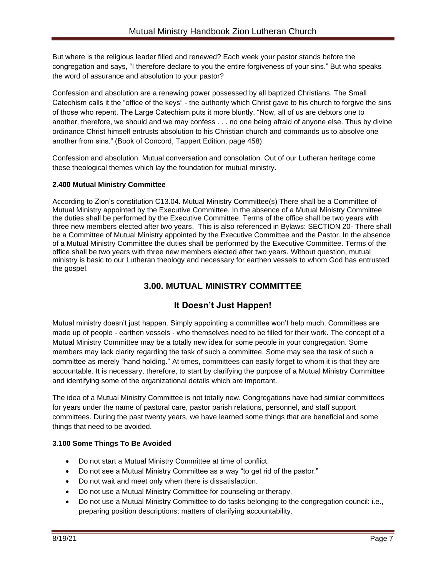But where is the religious leader filled and renewed? Each week your pastor stands before the congregation and says, "I therefore declare to you the entire forgiveness of your sins." But who speaks the word of assurance and absolution to your pastor?

Confession and absolution are a renewing power possessed by all baptized Christians. The Small Catechism calls it the "office of the keys" - the authority which Christ gave to his church to forgive the sins of those who repent. The Large Catechism puts it more bluntly. "Now, all of us are debtors one to another, therefore, we should and we may confess . . . no one being afraid of anyone else. Thus by divine ordinance Christ himself entrusts absolution to his Christian church and commands us to absolve one another from sins." (Book of Concord, Tappert Edition, page 458).

Confession and absolution. Mutual conversation and consolation. Out of our Lutheran heritage come these theological themes which lay the foundation for mutual ministry.

### **2.400 Mutual Ministry Committee**

According to Zion's constitution C13.04. Mutual Ministry Committee(s) There shall be a Committee of Mutual Ministry appointed by the Executive Committee. In the absence of a Mutual Ministry Committee the duties shall be performed by the Executive Committee. Terms of the office shall be two years with three new members elected after two years. This is also referenced in Bylaws: SECTION 20- There shall be a Committee of Mutual Ministry appointed by the Executive Committee and the Pastor. In the absence of a Mutual Ministry Committee the duties shall be performed by the Executive Committee. Terms of the office shall be two years with three new members elected after two years. Without question, mutual ministry is basic to our Lutheran theology and necessary for earthen vessels to whom God has entrusted the gospel.

### **3.00. MUTUAL MINISTRY COMMITTEE**

### **It Doesn't Just Happen!**

Mutual ministry doesn't just happen. Simply appointing a committee won't help much. Committees are made up of people - earthen vessels - who themselves need to be filled for their work. The concept of a Mutual Ministry Committee may be a totally new idea for some people in your congregation. Some members may lack clarity regarding the task of such a committee. Some may see the task of such a committee as merely "hand holding." At times, committees can easily forget to whom it is that they are accountable. It is necessary, therefore, to start by clarifying the purpose of a Mutual Ministry Committee and identifying some of the organizational details which are important.

The idea of a Mutual Ministry Committee is not totally new. Congregations have had similar committees for years under the name of pastoral care, pastor parish relations, personnel, and staff support committees. During the past twenty years, we have learned some things that are beneficial and some things that need to be avoided.

### **3.100 Some Things To Be Avoided**

- Do not start a Mutual Ministry Committee at time of conflict.
- Do not see a Mutual Ministry Committee as a way "to get rid of the pastor."
- Do not wait and meet only when there is dissatisfaction.
- Do not use a Mutual Ministry Committee for counseling or therapy.
- Do not use a Mutual Ministry Committee to do tasks belonging to the congregation council: i.e., preparing position descriptions; matters of clarifying accountability.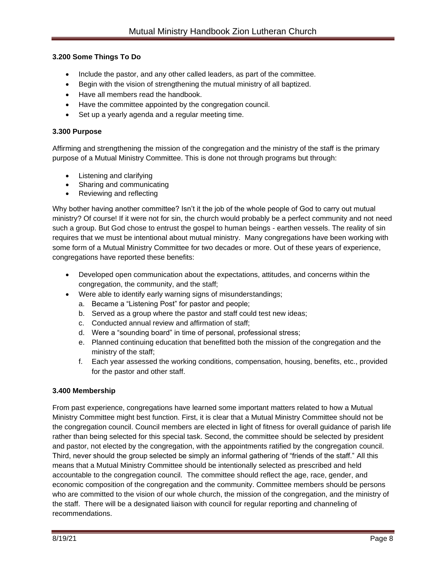### **3.200 Some Things To Do**

- Include the pastor, and any other called leaders, as part of the committee.
- Begin with the vision of strengthening the mutual ministry of all baptized.
- Have all members read the handbook.
- Have the committee appointed by the congregation council.
- Set up a yearly agenda and a regular meeting time.

### **3.300 Purpose**

Affirming and strengthening the mission of the congregation and the ministry of the staff is the primary purpose of a Mutual Ministry Committee. This is done not through programs but through:

- Listening and clarifying
- Sharing and communicating
- Reviewing and reflecting

Why bother having another committee? Isn't it the job of the whole people of God to carry out mutual ministry? Of course! If it were not for sin, the church would probably be a perfect community and not need such a group. But God chose to entrust the gospel to human beings - earthen vessels. The reality of sin requires that we must be intentional about mutual ministry. Many congregations have been working with some form of a Mutual Ministry Committee for two decades or more. Out of these years of experience, congregations have reported these benefits:

- Developed open communication about the expectations, attitudes, and concerns within the congregation, the community, and the staff;
- Were able to identify early warning signs of misunderstandings;
	- a. Became a "Listening Post" for pastor and people;
	- b. Served as a group where the pastor and staff could test new ideas;
	- c. Conducted annual review and affirmation of staff;
	- d. Were a "sounding board" in time of personal, professional stress;
	- e. Planned continuing education that benefitted both the mission of the congregation and the ministry of the staff;
	- f. Each year assessed the working conditions, compensation, housing, benefits, etc., provided for the pastor and other staff.

#### **3.400 Membership**

From past experience, congregations have learned some important matters related to how a Mutual Ministry Committee might best function. First, it is clear that a Mutual Ministry Committee should not be the congregation council. Council members are elected in light of fitness for overall guidance of parish life rather than being selected for this special task. Second, the committee should be selected by president and pastor, not elected by the congregation, with the appointments ratified by the congregation council. Third, never should the group selected be simply an informal gathering of "friends of the staff." All this means that a Mutual Ministry Committee should be intentionally selected as prescribed and held accountable to the congregation council. The committee should reflect the age, race, gender, and economic composition of the congregation and the community. Committee members should be persons who are committed to the vision of our whole church, the mission of the congregation, and the ministry of the staff. There will be a designated liaison with council for regular reporting and channeling of recommendations.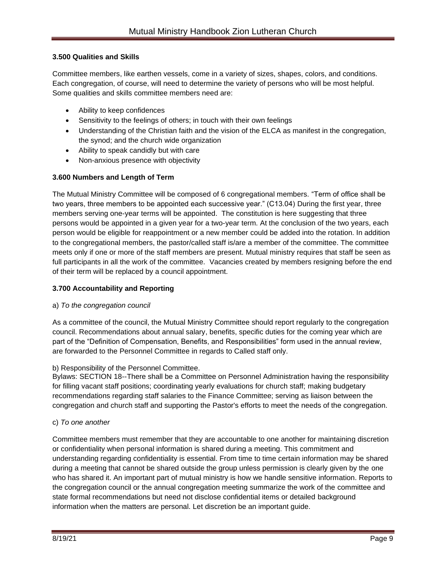### **3.500 Qualities and Skills**

Committee members, like earthen vessels, come in a variety of sizes, shapes, colors, and conditions. Each congregation, of course, will need to determine the variety of persons who will be most helpful. Some qualities and skills committee members need are:

- Ability to keep confidences
- Sensitivity to the feelings of others; in touch with their own feelings
- Understanding of the Christian faith and the vision of the ELCA as manifest in the congregation, the synod; and the church wide organization
- Ability to speak candidly but with care
- Non-anxious presence with objectivity

### **3.600 Numbers and Length of Term**

The Mutual Ministry Committee will be composed of 6 congregational members. "Term of office shall be two years, three members to be appointed each successive year." (C13.04) During the first year, three members serving one-year terms will be appointed. The constitution is here suggesting that three persons would be appointed in a given year for a two-year term. At the conclusion of the two years, each person would be eligible for reappointment or a new member could be added into the rotation. In addition to the congregational members, the pastor/called staff is/are a member of the committee. The committee meets only if one or more of the staff members are present. Mutual ministry requires that staff be seen as full participants in all the work of the committee. Vacancies created by members resigning before the end of their term will be replaced by a council appointment.

### **3.700 Accountability and Reporting**

#### a) *To the congregation council*

As a committee of the council, the Mutual Ministry Committee should report regularly to the congregation council. Recommendations about annual salary, benefits, specific duties for the coming year which are part of the "Definition of Compensation, Benefits, and Responsibilities" form used in the annual review, are forwarded to the Personnel Committee in regards to Called staff only.

#### b) Responsibility of the Personnel Committee.

Bylaws: SECTION 18--There shall be a Committee on Personnel Administration having the responsibility for filling vacant staff positions; coordinating yearly evaluations for church staff; making budgetary recommendations regarding staff salaries to the Finance Committee; serving as liaison between the congregation and church staff and supporting the Pastor's efforts to meet the needs of the congregation.

#### c) *To one another*

Committee members must remember that they are accountable to one another for maintaining discretion or confidentiality when personal information is shared during a meeting. This commitment and understanding regarding confidentiality is essential. From time to time certain information may be shared during a meeting that cannot be shared outside the group unless permission is clearly given by the one who has shared it. An important part of mutual ministry is how we handle sensitive information. Reports to the congregation council or the annual congregation meeting summarize the work of the committee and state formal recommendations but need not disclose confidential items or detailed background information when the matters are personal. Let discretion be an important guide.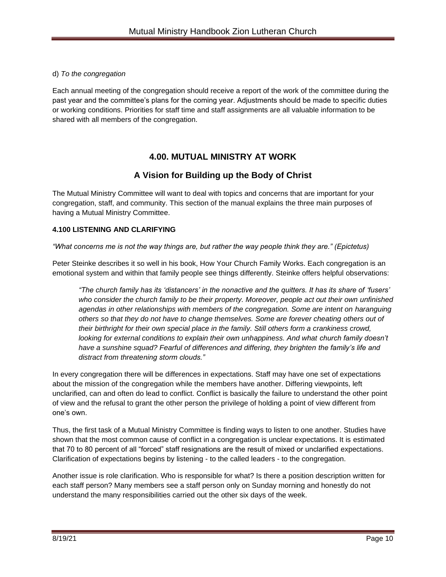### d) *To the congregation*

Each annual meeting of the congregation should receive a report of the work of the committee during the past year and the committee's plans for the coming year. Adjustments should be made to specific duties or working conditions. Priorities for staff time and staff assignments are all valuable information to be shared with all members of the congregation.

### **4.00. MUTUAL MINISTRY AT WORK**

### **A Vision for Building up the Body of Christ**

The Mutual Ministry Committee will want to deal with topics and concerns that are important for your congregation, staff, and community. This section of the manual explains the three main purposes of having a Mutual Ministry Committee.

### **4.100 LISTENING AND CLARIFYING**

### *"What concerns me is not the way things are, but rather the way people think they are." (Epictetus)*

Peter Steinke describes it so well in his book, How Your Church Family Works. Each congregation is an emotional system and within that family people see things differently. Steinke offers helpful observations:

*"The church family has its 'distancers' in the nonactive and the quitters. It has its share of 'fusers' who consider the church family to be their property. Moreover, people act out their own unfinished agendas in other relationships with members of the congregation. Some are intent on haranguing others so that they do not have to change themselves. Some are forever cheating others out of their birthright for their own special place in the family. Still others form a crankiness crowd,*  looking for external conditions to explain their own unhappiness. And what *church* family doesn't have a sunshine squad? Fearful of differences and differing, they brighten the family's life and *distract from threatening storm clouds."*

In every congregation there will be differences in expectations. Staff may have one set of expectations about the mission of the congregation while the members have another. Differing viewpoints, left unclarified, can and often do lead to conflict. Conflict is basically the failure to understand the other point of view and the refusal to grant the other person the privilege of holding a point of view different from one's own.

Thus, the first task of a Mutual Ministry Committee is finding ways to listen to one another. Studies have shown that the most common cause of conflict in a congregation is unclear expectations. It is estimated that 70 to 80 percent of all "forced" staff resignations are the result of mixed or unclarified expectations. Clarification of expectations begins by listening - to the called leaders - to the congregation.

Another issue is role clarification. Who is responsible for what? Is there a position description written for each staff person? Many members see a staff person only on Sunday morning and honestly do not understand the many responsibilities carried out the other six days of the week.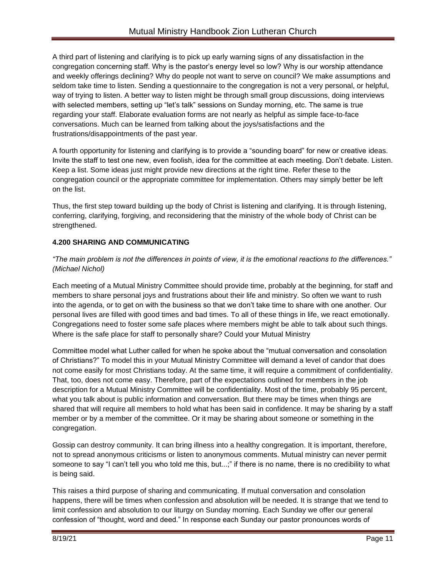A third part of listening and clarifying is to pick up early warning signs of any dissatisfaction in the congregation concerning staff. Why is the pastor's energy level so low? Why is our worship attendance and weekly offerings declining? Why do people not want to serve on council? We make assumptions and seldom take time to listen. Sending a questionnaire to the congregation is not a very personal, or helpful, way of trying to listen. A better way to listen might be through small group discussions, doing interviews with selected members, setting up "let's talk" sessions on Sunday morning, etc. The same is true regarding your staff. Elaborate evaluation forms are not nearly as helpful as simple face-to-face conversations. Much can be learned from talking about the joys/satisfactions and the frustrations/disappointments of the past year.

A fourth opportunity for listening and clarifying is to provide a "sounding board" for new or creative ideas. Invite the staff to test one new, even foolish, idea for the committee at each meeting. Don't debate. Listen. Keep a list. Some ideas just might provide new directions at the right time. Refer these to the congregation council or the appropriate committee for implementation. Others may simply better be left on the list.

Thus, the first step toward building up the body of Christ is listening and clarifying. It is through listening, conferring, clarifying, forgiving, and reconsidering that the ministry of the whole body of Christ can be strengthened.

### **4.200 SHARING AND COMMUNICATING**

*"The main problem is not the differences in points of view, it is the emotional reactions to the differences." (Michael Nichol)*

Each meeting of a Mutual Ministry Committee should provide time, probably at the beginning, for staff and members to share personal joys and frustrations about their life and ministry. So often we want to rush into the agenda, or to get on with the business so that we don't take time to share with one another. Our personal lives are filled with good times and bad times. To all of these things in life, we react emotionally. Congregations need to foster some safe places where members might be able to talk about such things. Where is the safe place for staff to personally share? Could your Mutual Ministry

Committee model what Luther called for when he spoke about the "mutual conversation and consolation of Christians?" To model this in your Mutual Ministry Committee will demand a level of candor that does not come easily for most Christians today. At the same time, it will require a commitment of confidentiality. That, too, does not come easy. Therefore, part of the expectations outlined for members in the job description for a Mutual Ministry Committee will be confidentiality. Most of the time, probably 95 percent, what you talk about is public information and conversation. But there may be times when things are shared that will require all members to hold what has been said in confidence. It may be sharing by a staff member or by a member of the committee. Or it may be sharing about someone or something in the congregation.

Gossip can destroy community. It can bring illness into a healthy congregation. It is important, therefore, not to spread anonymous criticisms or listen to anonymous comments. Mutual ministry can never permit someone to say "I can't tell you who told me this, but...;" if there is no name, there is no credibility to what is being said.

This raises a third purpose of sharing and communicating. If mutual conversation and consolation happens, there will be times when confession and absolution will be needed. It is strange that we tend to limit confession and absolution to our liturgy on Sunday morning. Each Sunday we offer our general confession of "thought, word and deed." In response each Sunday our pastor pronounces words of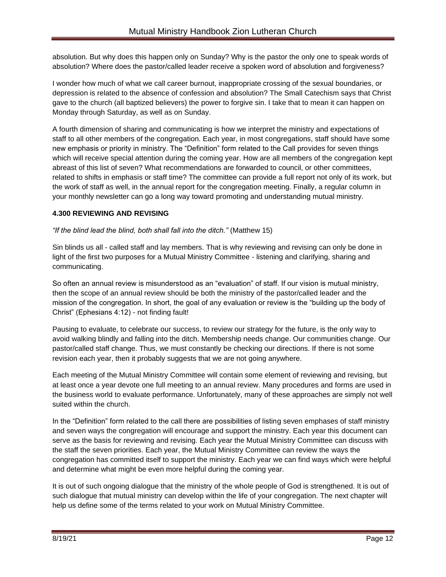absolution. But why does this happen only on Sunday? Why is the pastor the only one to speak words of absolution? Where does the pastor/called leader receive a spoken word of absolution and forgiveness?

I wonder how much of what we call career burnout, inappropriate crossing of the sexual boundaries, or depression is related to the absence of confession and absolution? The Small Catechism says that Christ gave to the church (all baptized believers) the power to forgive sin. I take that to mean it can happen on Monday through Saturday, as well as on Sunday.

A fourth dimension of sharing and communicating is how we interpret the ministry and expectations of staff to all other members of the congregation. Each year, in most congregations, staff should have some new emphasis or priority in ministry. The "Definition" form related to the Call provides for seven things which will receive special attention during the coming year. How are all members of the congregation kept abreast of this list of seven? What recommendations are forwarded to council, or other committees, related to shifts in emphasis or staff time? The committee can provide a full report not only of its work, but the work of staff as well, in the annual report for the congregation meeting. Finally, a regular column in your monthly newsletter can go a long way toward promoting and understanding mutual ministry.

### **4.300 REVIEWING AND REVISING**

*"If the blind lead the blind, both shall fall into the ditch."* (Matthew 15)

Sin blinds us all - called staff and lay members. That is why reviewing and revising can only be done in light of the first two purposes for a Mutual Ministry Committee - listening and clarifying, sharing and communicating.

So often an annual review is misunderstood as an "evaluation" of staff. If our vision is mutual ministry, then the scope of an annual review should be both the ministry of the pastor/called leader and the mission of the congregation. In short, the goal of any evaluation or review is the "building up the body of Christ" (Ephesians 4:12) - not finding fault!

Pausing to evaluate, to celebrate our success, to review our strategy for the future, is the only way to avoid walking blindly and falling into the ditch. Membership needs change. Our communities change. Our pastor/called staff change. Thus, we must constantly be checking our directions. If there is not some revision each year, then it probably suggests that we are not going anywhere.

Each meeting of the Mutual Ministry Committee will contain some element of reviewing and revising, but at least once a year devote one full meeting to an annual review. Many procedures and forms are used in the business world to evaluate performance. Unfortunately, many of these approaches are simply not well suited within the church.

In the "Definition" form related to the call there are possibilities of listing seven emphases of staff ministry and seven ways the congregation will encourage and support the ministry. Each year this document can serve as the basis for reviewing and revising. Each year the Mutual Ministry Committee can discuss with the staff the seven priorities. Each year, the Mutual Ministry Committee can review the ways the congregation has committed itself to support the ministry. Each year we can find ways which were helpful and determine what might be even more helpful during the coming year.

It is out of such ongoing dialogue that the ministry of the whole people of God is strengthened. It is out of such dialogue that mutual ministry can develop within the life of your congregation. The next chapter will help us define some of the terms related to your work on Mutual Ministry Committee.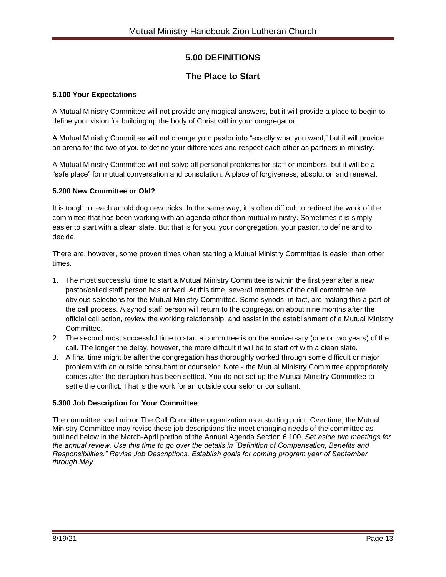### **5.00 DEFINITIONS**

### **The Place to Start**

### **5.100 Your Expectations**

A Mutual Ministry Committee will not provide any magical answers, but it will provide a place to begin to define your vision for building up the body of Christ within your congregation.

A Mutual Ministry Committee will not change your pastor into "exactly what you want," but it will provide an arena for the two of you to define your differences and respect each other as partners in ministry.

A Mutual Ministry Committee will not solve all personal problems for staff or members, but it will be a "safe place" for mutual conversation and consolation. A place of forgiveness, absolution and renewal.

### **5.200 New Committee or Old?**

It is tough to teach an old dog new tricks. In the same way, it is often difficult to redirect the work of the committee that has been working with an agenda other than mutual ministry. Sometimes it is simply easier to start with a clean slate. But that is for you, your congregation, your pastor, to define and to decide.

There are, however, some proven times when starting a Mutual Ministry Committee is easier than other times.

- 1. The most successful time to start a Mutual Ministry Committee is within the first year after a new pastor/called staff person has arrived. At this time, several members of the call committee are obvious selections for the Mutual Ministry Committee. Some synods, in fact, are making this a part of the call process. A synod staff person will return to the congregation about nine months after the official call action, review the working relationship, and assist in the establishment of a Mutual Ministry Committee.
- 2. The second most successful time to start a committee is on the anniversary (one or two years) of the call. The longer the delay, however, the more difficult it will be to start off with a clean slate.
- 3. A final time might be after the congregation has thoroughly worked through some difficult or major problem with an outside consultant or counselor. Note - the Mutual Ministry Committee appropriately comes after the disruption has been settled. You do not set up the Mutual Ministry Committee to settle the conflict. That is the work for an outside counselor or consultant.

### **5.300 Job Description for Your Committee**

The committee shall mirror The Call Committee organization as a starting point. Over time, the Mutual Ministry Committee may revise these job descriptions the meet changing needs of the committee as outlined below in the March-April portion of the Annual Agenda Section 6.100, *Set aside two meetings for the annual review. Use this time to go over the details in "Definition of Compensation, Benefits and Responsibilities." Revise Job Descriptions. Establish goals for coming program year of September through May.*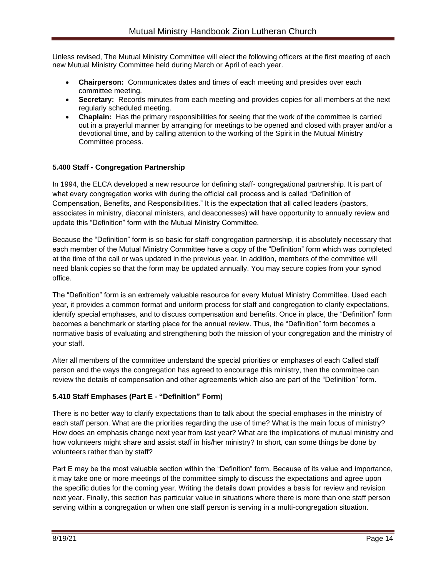Unless revised, The Mutual Ministry Committee will elect the following officers at the first meeting of each new Mutual Ministry Committee held during March or April of each year.

- **Chairperson:** Communicates dates and times of each meeting and presides over each committee meeting.
- **Secretary:** Records minutes from each meeting and provides copies for all members at the next regularly scheduled meeting.
- **Chaplain:** Has the primary responsibilities for seeing that the work of the committee is carried out in a prayerful manner by arranging for meetings to be opened and closed with prayer and/or a devotional time, and by calling attention to the working of the Spirit in the Mutual Ministry Committee process.

### **5.400 Staff - Congregation Partnership**

In 1994, the ELCA developed a new resource for defining staff- congregational partnership. It is part of what every congregation works with during the official call process and is called "Definition of Compensation, Benefits, and Responsibilities." It is the expectation that all called leaders (pastors, associates in ministry, diaconal ministers, and deaconesses) will have opportunity to annually review and update this "Definition" form with the Mutual Ministry Committee.

Because the "Definition" form is so basic for staff-congregation partnership, it is absolutely necessary that each member of the Mutual Ministry Committee have a copy of the "Definition" form which was completed at the time of the call or was updated in the previous year. In addition, members of the committee will need blank copies so that the form may be updated annually. You may secure copies from your synod office.

The "Definition" form is an extremely valuable resource for every Mutual Ministry Committee. Used each year, it provides a common format and uniform process for staff and congregation to clarify expectations, identify special emphases, and to discuss compensation and benefits. Once in place, the "Definition" form becomes a benchmark or starting place for the annual review. Thus, the "Definition" form becomes a normative basis of evaluating and strengthening both the mission of your congregation and the ministry of your staff.

After all members of the committee understand the special priorities or emphases of each Called staff person and the ways the congregation has agreed to encourage this ministry, then the committee can review the details of compensation and other agreements which also are part of the "Definition" form.

### **5.410 Staff Emphases (Part E - "Definition" Form)**

There is no better way to clarify expectations than to talk about the special emphases in the ministry of each staff person. What are the priorities regarding the use of time? What is the main focus of ministry? How does an emphasis change next year from last year? What are the implications of mutual ministry and how volunteers might share and assist staff in his/her ministry? In short, can some things be done by volunteers rather than by staff?

Part E may be the most valuable section within the "Definition" form. Because of its value and importance, it may take one or more meetings of the committee simply to discuss the expectations and agree upon the specific duties for the coming year. Writing the details down provides a basis for review and revision next year. Finally, this section has particular value in situations where there is more than one staff person serving within a congregation or when one staff person is serving in a multi-congregation situation.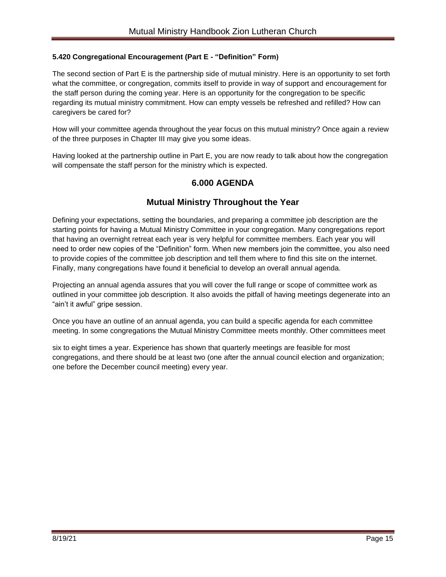#### **5.420 Congregational Encouragement (Part E - "Definition" Form)**

The second section of Part E is the partnership side of mutual ministry. Here is an opportunity to set forth what the committee, or congregation, commits itself to provide in way of support and encouragement for the staff person during the coming year. Here is an opportunity for the congregation to be specific regarding its mutual ministry commitment. How can empty vessels be refreshed and refilled? How can caregivers be cared for?

How will your committee agenda throughout the year focus on this mutual ministry? Once again a review of the three purposes in Chapter III may give you some ideas.

Having looked at the partnership outline in Part E, you are now ready to talk about how the congregation will compensate the staff person for the ministry which is expected.

### **6.000 AGENDA**

### **Mutual Ministry Throughout the Year**

Defining your expectations, setting the boundaries, and preparing a committee job description are the starting points for having a Mutual Ministry Committee in your congregation. Many congregations report that having an overnight retreat each year is very helpful for committee members. Each year you will need to order new copies of the "Definition" form. When new members join the committee, you also need to provide copies of the committee job description and tell them where to find this site on the internet. Finally, many congregations have found it beneficial to develop an overall annual agenda.

Projecting an annual agenda assures that you will cover the full range or scope of committee work as outlined in your committee job description. It also avoids the pitfall of having meetings degenerate into an "ain't it awful" gripe session.

Once you have an outline of an annual agenda, you can build a specific agenda for each committee meeting. In some congregations the Mutual Ministry Committee meets monthly. Other committees meet

six to eight times a year. Experience has shown that quarterly meetings are feasible for most congregations, and there should be at least two (one after the annual council election and organization; one before the December council meeting) every year.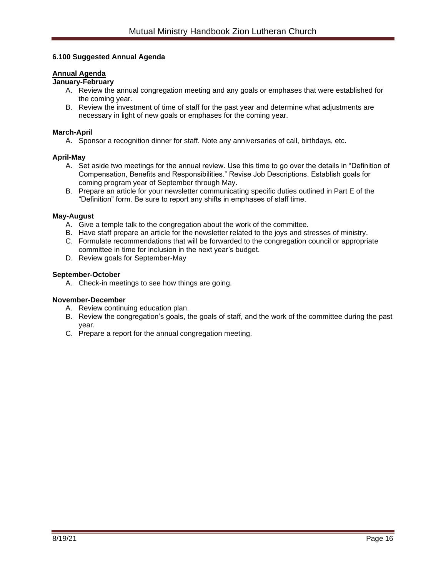#### **6.100 Suggested Annual Agenda**

### **Annual Agenda**

#### **January-February**

- A. Review the annual congregation meeting and any goals or emphases that were established for the coming year.
- B. Review the investment of time of staff for the past year and determine what adjustments are necessary in light of new goals or emphases for the coming year.

#### **March-April**

A. Sponsor a recognition dinner for staff. Note any anniversaries of call, birthdays, etc.

#### **April-May**

- A. Set aside two meetings for the annual review. Use this time to go over the details in "Definition of Compensation, Benefits and Responsibilities." Revise Job Descriptions. Establish goals for coming program year of September through May.
- B. Prepare an article for your newsletter communicating specific duties outlined in Part E of the "Definition" form. Be sure to report any shifts in emphases of staff time.

#### **May-August**

- A. Give a temple talk to the congregation about the work of the committee.
- B. Have staff prepare an article for the newsletter related to the joys and stresses of ministry.
- C. Formulate recommendations that will be forwarded to the congregation council or appropriate committee in time for inclusion in the next year's budget.
- D. Review goals for September-May

#### **September-October**

A. Check-in meetings to see how things are going.

#### **November-December**

- A. Review continuing education plan.
- B. Review the congregation's goals, the goals of staff, and the work of the committee during the past year.
- C. Prepare a report for the annual congregation meeting.